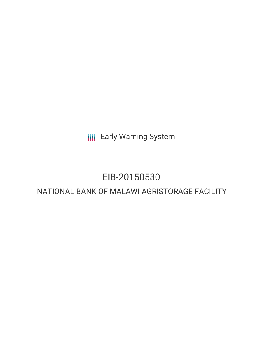**III** Early Warning System

# EIB-20150530

# NATIONAL BANK OF MALAWI AGRISTORAGE FACILITY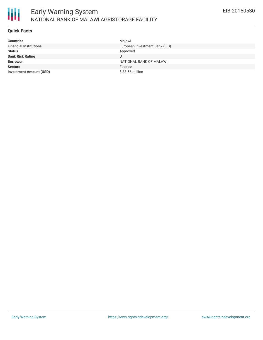

#### **Quick Facts**

| <b>Countries</b>               | Malawi                         |
|--------------------------------|--------------------------------|
| <b>Financial Institutions</b>  | European Investment Bank (EIB) |
| <b>Status</b>                  | Approved                       |
| <b>Bank Risk Rating</b>        | U                              |
| <b>Borrower</b>                | NATIONAL BANK OF MALAWI        |
| <b>Sectors</b>                 | Finance                        |
| <b>Investment Amount (USD)</b> | $$33.56$ million               |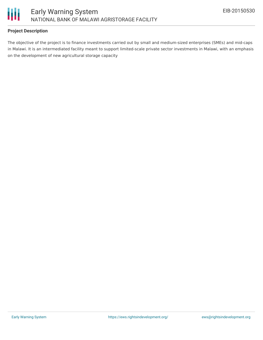

## **Project Description**

The objective of the project is to finance investments carried out by small and medium-sized enterprises (SMEs) and mid-caps in Malawi. It is an intermediated facility meant to support limited-scale private sector investments in Malawi, with an emphasis on the development of new agricultural storage capacity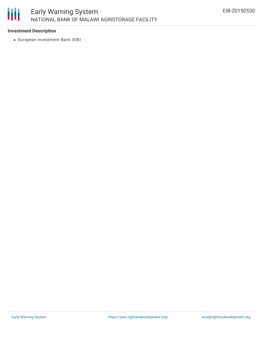

## **Investment Description**

European Investment Bank (EIB)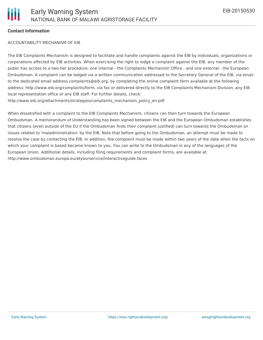#### **Contact Information**

#### ACCOUNTABILITY MECHANISM OF EIB

The EIB Complaints Mechanism is designed to facilitate and handle complaints against the EIB by individuals, organizations or corporations affected by EIB activities. When exercising the right to lodge a complaint against the EIB, any member of the public has access to a two-tier procedure, one internal - the Complaints Mechanism Office - and one external - the European Ombudsman. A complaint can be lodged via a written communication addressed to the Secretary General of the EIB, via email to the dedicated email address complaints@eib.org, by completing the online complaint form available at the following address: http://www.eib.org/complaints/form, via fax or delivered directly to the EIB Complaints Mechanism Division, any EIB local representation office or any EIB staff. For further details, check: http://www.eib.org/attachments/strategies/complaints\_mechanism\_policy\_en.pdf

When dissatisfied with a complaint to the EIB Complaints Mechanism, citizens can then turn towards the European Ombudsman. A memorandum of Understanding has been signed between the EIB and the European Ombudsman establishes that citizens (even outside of the EU if the Ombudsman finds their complaint justified) can turn towards the Ombudsman on issues related to 'maladministration' by the EIB. Note that before going to the Ombudsman, an attempt must be made to resolve the case by contacting the EIB. In addition, the complaint must be made within two years of the date when the facts on which your complaint is based became known to you. You can write to the Ombudsman in any of the languages of the European Union. Additional details, including filing requirements and complaint forms, are available at: http://www.ombudsman.europa.eu/atyourservice/interactiveguide.faces